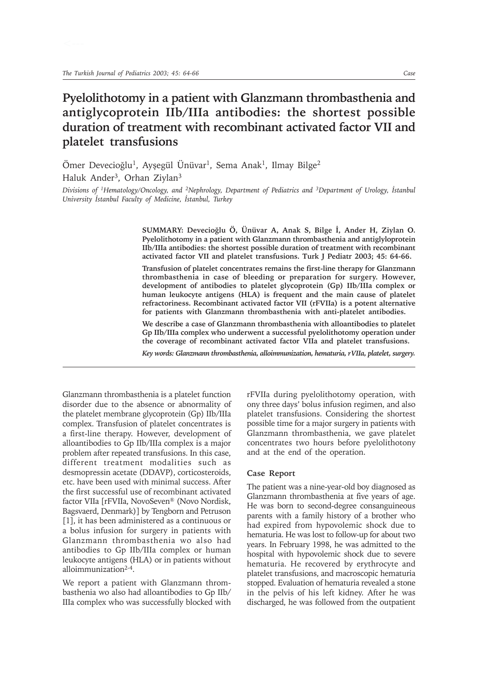# **Pyelolithotomy in a patient with Glanzmann thrombasthenia and antiglycoprotein IIb/IIIa antibodies: the shortest possible duration of treatment with recombinant activated factor VII and platelet transfusions**

Ömer Devecioğlu<sup>1</sup>, Ayşegül Ünüvar<sup>1</sup>, Sema Anak<sup>1</sup>, Ilmay Bilge<sup>2</sup> Haluk Ander<sup>3</sup>, Orhan Ziylan<sup>3</sup>

*Divisions of <sup>1</sup>Hematology/Oncology, and <sup>2</sup>Nephrology, Department of Pediatrics and <sup>3</sup>Department of Urology, Istanbul* University *İstanbul Faculty of Medicine*, *İstanbul*, *Turkey* 

> SUMMARY: Devecioğlu Ö, Ünüvar A, Anak S, Bilge İ, Ander H, Ziylan O. **Pyelolithotomy in a patient with Glanzmann thrombasthenia and antiglyloprotein IIb/IIIa antibodies: the shortest possible duration of treatment with recombinant activated factor VII and platelet transfusions. Turk J Pediatr 2003; 45: 64-66.**

> **Transfusion of platelet concentrates remains the first-line therapy for Glanzmann thrombasthenia in case of bleeding or preparation for surgery. However, development of antibodies to platelet glycoprotein (Gp) IIb/IIIa complex or human leukocyte antigens (HLA) is frequent and the main cause of platelet refractoriness. Recombinant activated factor VII (rFVIIa) is a potent alternative for patients with Glanzmann thrombasthenia with anti-platelet antibodies.**

> **We describe a case of Glanzmann thrombasthenia with alloantibodies to platelet Gp IIb/IIIa complex who underwent a successful pyelolithotomy operation under the coverage of recombinant activated factor VIIa and platelet transfusions.**

> *Key words: Glanzmann thrombasthenia, alloimmunization, hematuria, rVIIa, platelet, surgery.*

Glanzmann thrombasthenia is a platelet function disorder due to the absence or abnormality of the platelet membrane glycoprotein (Gp) IIb/IIIa complex. Transfusion of platelet concentrates is a first-line therapy. However, development of alloantibodies to Gp IIb/IIIa complex is a major problem after repeated transfusions. In this case, different treatment modalities such as desmopressin acetate (DDAVP), corticosteroids, etc. have been used with minimal success. After the first successful use of recombinant activated factor VIIa [rFVIIa, NovoSeven® (Novo Nordisk, Bagsvaerd, Denmark)] by Tengborn and Petruson [1], it has been administered as a continuous or a bolus infusion for surgery in patients with Glanzmann thrombasthenia wo also had antibodies to Gp IIb/IIIa complex or human leukocyte antigens (HLA) or in patients without alloimmunization2-4.

We report a patient with Glanzmann thrombasthenia wo also had alloantibodies to Gp IIb/ IIIa complex who was successfully blocked with rFVIIa during pyelolithotomy operation, with ony three days' bolus infusion regimen, and also platelet transfusions. Considering the shortest possible time for a major surgery in patients with Glanzmann thrombasthenia, we gave platelet concentrates two hours before pyelolithotony and at the end of the operation.

#### **Case Report**

The patient was a nine-year-old boy diagnosed as Glanzmann thrombasthenia at five years of age. He was born to second-degree consanguineous parents with a family history of a brother who had expired from hypovolemic shock due to hematuria. He was lost to follow-up for about two years. In February 1998, he was admitted to the hospital with hypovolemic shock due to severe hematuria. He recovered by erythrocyte and platelet transfusions, and macroscopic hematuria stopped. Evaluation of hematuria revealed a stone in the pelvis of his left kidney. After he was discharged, he was followed from the outpatient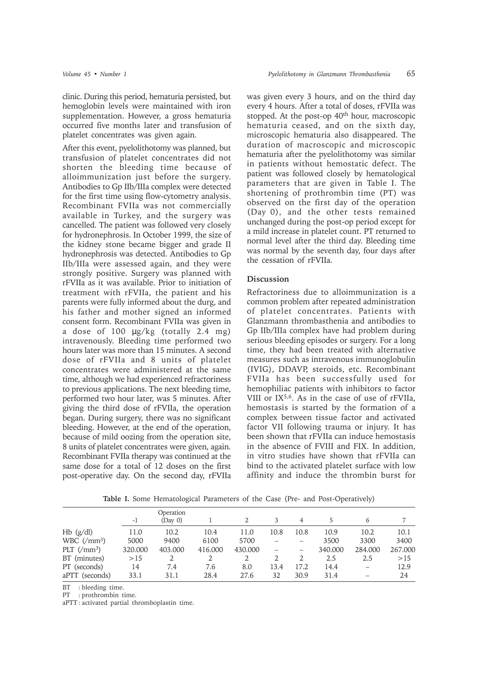clinic. During this period, hematuria persisted, but hemoglobin levels were maintained with iron supplementation. However, a gross hematuria occurred five months later and transfusion of platelet concentrates was given again.

After this event, pyelolithotomy was planned, but transfusion of platelet concentrates did not shorten the bleeding time because of alloimmunization just before the surgery. Antibodies to Gp IIb/IIIa complex were detected for the first time using flow-cytometry analysis. Recombinant FVIIa was not commercially available in Turkey, and the surgery was cancelled. The patient was followed very closely for hydronephrosis. In October 1999, the size of the kidney stone became bigger and grade II hydronephrosis was detected. Antibodies to Gp IIb/IIIa were assessed again, and they were strongly positive. Surgery was planned with rFVIIa as it was available. Prior to initiation of treatment with rFVIIa, the patient and his parents were fully informed about the durg, and his father and mother signed an informed consent form. Recombinant FVIIa was given in a dose of 100 µg/kg (totally 2.4 mg) intravenously. Bleeding time performed two hours later was more than 15 minutes. A second dose of rFVIIa and 8 units of platelet concentrates were administered at the same time, although we had experienced refractoriness to previous applications. The next bleeding time, performed two hour later, was 5 minutes. After giving the third dose of rFVIIa, the operation began. During surgery, there was no significant bleeding. However, at the end of the operation, because of mild oozing from the operation site, 8 units of platelet concentrates were given, again. Recombinant FVIIa therapy was continued at the same dose for a total of 12 doses on the first post-operative day. On the second day, rFVIIa

was given every 3 hours, and on the third day every 4 hours. After a total of doses, rFVIIa was stopped. At the post-op 40<sup>th</sup> hour, macroscopic hematuria ceased, and on the sixth day, microscopic hematuria also disappeared. The duration of macroscopic and microscopic hematuria after the pyelolithotomy was similar in patients without hemostatic defect. The patient was followed closely by hematological parameters that are given in Table I. The shortening of prothrombin time (PT) was observed on the first day of the operation (Day 0), and the other tests remained unchanged during the post-op period except for a mild increase in platelet count. PT returned to normal level after the third day. Bleeding time was normal by the seventh day, four days after the cessation of rFVIIa.

## **Discussion**

Refractoriness due to alloimmunization is a common problem after repeated administration of platelet concentrates. Patients with Glanzmann thrombasthenia and antibodies to Gp IIb/IIIa complex have had problem during serious bleeding episodes or surgery. For a long time, they had been treated with alternative measures such as intravenous immunoglobulin (IVIG), DDAVP, steroids, etc. Recombinant FVIIa has been successfully used for hemophiliac patients with inhibitors to factor VIII or IX5,6. As in the case of use of rFVIIa, hemostasis is started by the formation of a complex between tissue factor and activated factor VII following trauma or injury. It has been shown that rFVIIa can induce hemostasis in the absence of FVIII and FIX. In addition, in vitro studies have shown that rFVIIa can bind to the activated platelet surface with low affinity and induce the thrombin burst for

|                                       | -1      | Operation<br>(Dav 0) |         |         | 3    | 4    | 5       | 6       |         |
|---------------------------------------|---------|----------------------|---------|---------|------|------|---------|---------|---------|
| $Hb$ (g/dl)                           | 11.0    | 10.2                 | 10.4    | 11.0    | 10.8 | 10.8 | 10.9    | 10.2    | 10.1    |
| WBC $\left(\frac{\text{m}}{2}\right)$ | 5000    | 9400                 | 6100    | 5700    |      |      | 3500    | 3300    | 3400    |
| PLT $\left(\frac{\mu}{3}\right)$      | 320.000 | 403.000              | 416.000 | 430.000 |      |      | 340.000 | 284.000 | 267.000 |
| BT (minutes)                          | >15     |                      |         |         |      |      | 2.5     | 2.5     | >15     |
| PT (seconds)                          | 14      | 7.4                  | 7.6     | 8.0     | 13.4 | 17.2 | 14.4    |         | 12.9    |
| aPTT (seconds)                        | 33.1    | 31.1                 | 28.4    | 27.6    | 32   | 30.9 | 31.4    |         | 24      |

**Table I.** Some Hematological Parameters of the Case (Pre- and Post-Operatively)

BT : bleeding time.

PT : prothrombin time.

aPTT : activated partial thromboplastin time.